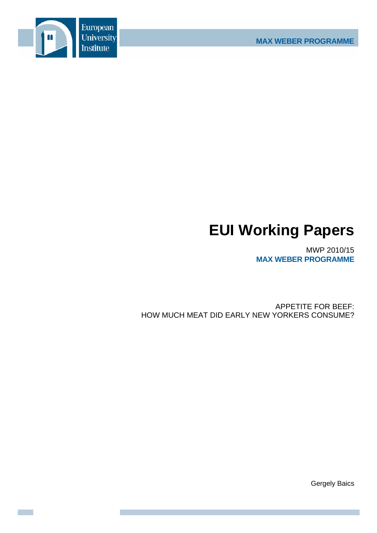

# **EUI Working Papers**

MWP 2010/15 **MAX WEBER PROGRAMME**

APPETITE FOR BEEF: HOW MUCH MEAT DID EARLY NEW YORKERS CONSUME?

Gergely Baics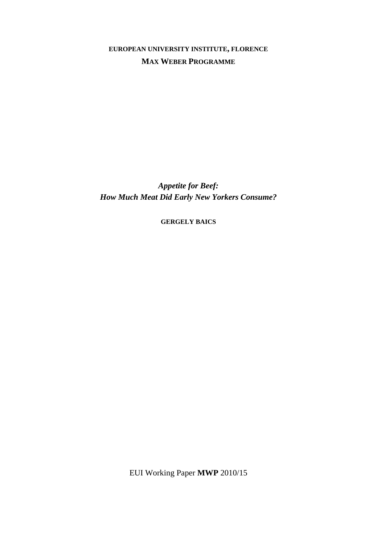**EUROPEAN UNIVERSITY INSTITUTE, FLORENCE MAX WEBER PROGRAMME**

*Appetite for Beef: How Much Meat Did Early New Yorkers Consume?* 

**GERGELY BAICS**

EUI Working Paper **MWP** 2010/15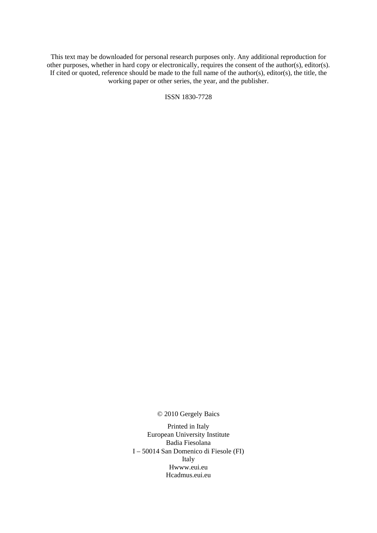This text may be downloaded for personal research purposes only. Any additional reproduction for other purposes, whether in hard copy or electronically, requires the consent of the author(s), editor(s). If cited or quoted, reference should be made to the full name of the author(s), editor(s), the title, the working paper or other series, the year, and the publisher.

ISSN 1830-7728

© 2010 Gergely Baics

Printed in Italy European University Institute Badia Fiesolana I – 50014 San Domenico di Fiesole (FI) Italy Hwww.eui.eu H cadmus.eui.eu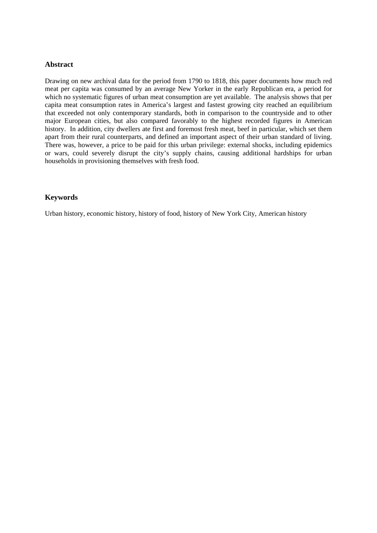## **Abstract**

Drawing on new archival data for the period from 1790 to 1818, this paper documents how much red meat per capita was consumed by an average New Yorker in the early Republican era, a period for which no systematic figures of urban meat consumption are yet available. The analysis shows that per capita meat consumption rates in America's largest and fastest growing city reached an equilibrium that exceeded not only contemporary standards, both in comparison to the countryside and to other major European cities, but also compared favorably to the highest recorded figures in American history. In addition, city dwellers ate first and foremost fresh meat, beef in particular, which set them apart from their rural counterparts, and defined an important aspect of their urban standard of living. There was, however, a price to be paid for this urban privilege: external shocks, including epidemics or wars, could severely disrupt the city's supply chains, causing additional hardships for urban households in provisioning themselves with fresh food.

# **Keywords**

Urban history, economic history, history of food, history of New York City, American history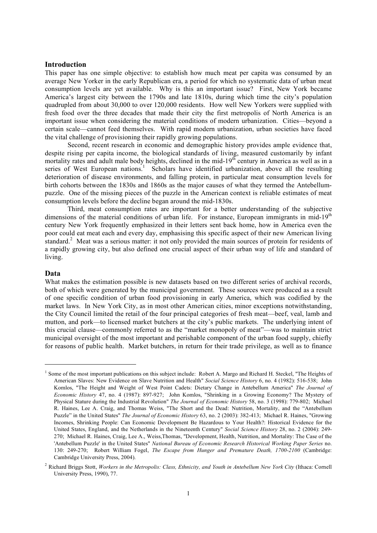## **Introduction**

This paper has one simple objective: to establish how much meat per capita was consumed by an average New Yorker in the early Republican era, a period for which no systematic data of urban meat consumption levels are yet available. Why is this an important issue? First, New York became America's largest city between the 1790s and late 1810s, during which time the city's population quadrupled from about 30,000 to over 120,000 residents. How well New Yorkers were supplied with fresh food over the three decades that made their city the first metropolis of North America is an important issue when considering the material conditions of modern urbanization. Cities—beyond a certain scale—cannot feed themselves. With rapid modern urbanization, urban societies have faced the vital challenge of provisioning their rapidly growing populations.

Second, recent research in economic and demographic history provides ample evidence that, despite rising per capita income, the biological standards of living, measured customarily by infant mortality rates and adult male body heights, declined in the mid-19<sup>th</sup> century in America as well as in a series of West European nations.<sup>1</sup> Scholars have identified urbanization, above all the resulting deterioration of disease environments, and falling protein, in particular meat consumption levels for birth cohorts between the 1830s and 1860s as the major causes of what they termed the Antebellumpuzzle. One of the missing pieces of the puzzle in the American context is reliable estimates of meat consumption levels before the decline began around the mid-1830s.

Third, meat consumption rates are important for a better understanding of the subjective dimensions of the material conditions of urban life. For instance, European immigrants in mid-19<sup>th</sup> century New York frequently emphasized in their letters sent back home, how in America even the poor could eat meat each and every day, emphasising this specific aspect of their new American living standard.<sup>2</sup> Meat was a serious matter: it not only provided the main sources of protein for residents of a rapidly growing city, but also defined one crucial aspect of their urban way of life and standard of living.

## **Data**

<u>.</u>

What makes the estimation possible is new datasets based on two different series of archival records, both of which were generated by the municipal government. These sources were produced as a result of one specific condition of urban food provisioning in early America, which was codified by the market laws. In New York City, as in most other American cities, minor exceptions notwithstanding, the City Council limited the retail of the four principal categories of fresh meat—beef, veal, lamb and mutton, and pork—to licensed market butchers at the city's public markets. The underlying intent of this crucial clause—commonly referred to as the "market monopoly of meat"—was to maintain strict municipal oversight of the most important and perishable component of the urban food supply, chiefly for reasons of public health. Market butchers, in return for their trade privilege, as well as to finance

<sup>&</sup>lt;sup>1</sup> Some of the most important publications on this subject include: Robert A. Margo and Richard H. Steckel, "The Heights of American Slaves: New Evidence on Slave Nutrition and Health" *Social Science History* 6, no. 4 (1982): 516-538; John Komlos, "The Height and Weight of West Point Cadets: Dietary Change in Antebellum America" *The Journal of Economic History* 47, no. 4 (1987): 897-927; John Komlos, "Shrinking in a Growing Economy? The Mystery of Physical Stature during the Industrial Revolution" *The Journal of Economic History* 58, no. 3 (1998): 779-802; Michael R. Haines, Lee A. Craig, and Thomas Weiss, "The Short and the Dead: Nutrition, Mortality, and the "Antebellum Puzzle" in the United States" *The Journal of Economic History* 63, no. 2 (2003): 382-413; Michael R. Haines, "Growing Incomes, Shrinking People: Can Economic Development Be Hazardous to Your Health?: Historical Evidence for the United States, England, and the Netherlands in the Nineteenth Century" *Social Science History* 28, no. 2 (2004): 249- 270; Michael R. Haines, Craig, Lee A., Weiss,Thomas, "Development, Health, Nutrition, and Mortality: The Case of the 'Antebellum Puzzle' in the United States" *National Bureau of Economic Research Historical Working Paper Series* no. 130: 249-270; Robert William Fogel, *The Escape from Hunger and Premature Death, 1700-2100* (Cambridge: Cambridge University Press, 2004).

<sup>2</sup> Richard Briggs Stott, *Workers in the Metropolis: Class, Ethnicity, and Youth in Antebellum New York City* (Ithaca: Cornell University Press, 1990), 77.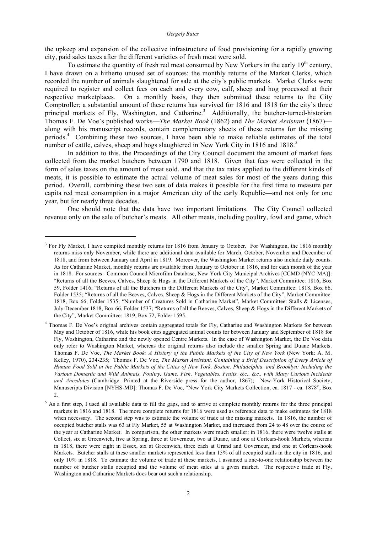the upkeep and expansion of the collective infrastructure of food provisioning for a rapidly growing city, paid sales taxes after the different varieties of fresh meat were sold.

To estimate the quantity of fresh red meat consumed by New Yorkers in the early  $19<sup>th</sup>$  century, I have drawn on a hitherto unused set of sources: the monthly returns of the Market Clerks, which recorded the number of animals slaughtered for sale at the city's public markets. Market Clerks were required to register and collect fees on each and every cow, calf, sheep and hog processed at their respective marketplaces. On a monthly basis, they then submitted these returns to the City Comptroller; a substantial amount of these returns has survived for 1816 and 1818 for the city's three principal markets of Fly, Washington, and Catharine.<sup>3</sup> Additionally, the butcher-turned-historian Thomas F. De Voe's published works—*The Market Book* (1862) and *The Market Assistant* (1867) along with his manuscript records, contain complementary sheets of these returns for the missing periods. <sup>4</sup> Combining these two sources, I have been able to make reliable estimates of the total number of cattle, calves, sheep and hogs slaughtered in New York City in 1816 and 1818.<sup>5</sup>

In addition to this, the Proceedings of the City Council document the amount of market fees collected from the market butchers between 1790 and 1818. Given that fees were collected in the form of sales taxes on the amount of meat sold, and that the tax rates applied to the different kinds of meats, it is possible to estimate the actual volume of meat sales for most of the years during this period. Overall, combining these two sets of data makes it possible for the first time to measure per capita red meat consumption in a major American city of the early Republic—and not only for one year, but for nearly three decades.

One should note that the data have two important limitations. The City Council collected revenue only on the sale of butcher's meats. All other meats, including poultry, fowl and game, which

<u>.</u>

<sup>&</sup>lt;sup>3</sup> For Fly Market, I have compiled monthly returns for 1816 from January to October. For Washington, the 1816 monthly returns miss only November, while there are additional data available for March, October, November and December of 1818, and from between January and April in 1819. Moreover, the Washington Market returns also include daily counts. As for Catharine Market, monthly returns are available from January to October in 1816, and for each month of the year in 1818. For sources: Common Council Microfilm Database, New York City Municipal Archives [CCMD (NYC-MA)]: "Returns of all the Beeves, Calves, Sheep & Hogs in the Different Markets of the City", Market Committee: 1816, Box 59, Folder 1416; "Returns of all the Butchers in the Different Markets of the City", Market Committee: 1818, Box 66, Folder 1535; "Returns of all the Beeves, Calves, Sheep & Hogs in the Different Markets of the City", Market Committee: 1818, Box 66, Folder 1535; "Number of Creatures Sold in Catharine Market", Market Committee: Stalls & Licenses, July-December 1818, Box 66, Folder 1537; "Returns of all the Beeves, Calves, Sheep & Hogs in the Different Markets of the City", Market Committee: 1819, Box 72, Folder 1595.

<sup>&</sup>lt;sup>4</sup> Thomas F. De Voe's original archives contain aggregated totals for Fly, Catharine and Washington Markets for between May and October of 1816, while his book cites aggregated animal counts for between January and September of 1818 for Fly, Washington, Catharine and the newly opened Centre Markets. In the case of Washington Market, the De Voe data only refer to Washington Market, whereas the original returns also include the smaller Spring and Duane Markets. Thomas F. De Voe, *The Market Book: A History of the Public Markets of the City of New York* (New York: A. M. Kelley, 1970), 234-235; Thomas F. De Voe, *The Market Assistant, Containing a Brief Description of Every Article of* Human Food Sold in the Public Markets of the Cities of New York, Boston, Philadelphia, and Brooklyn: Including the Various Domestic and Wild Animals, Poultry, Game, Fish, Vegetables, Fruits, &c., &c., with Many Curious Incidents *and Anecdotes* (Cambridge: Printed at the Riverside press for the author, 1867); New-York Historical Society, Manuscripts Division [NYHS-MD]: Thomas F. De Voe, "New York City Markets Collection, ca. 1817 - ca. 1878", Box  $\mathfrak{D}$ 

<sup>&</sup>lt;sup>5</sup> As a first step, I used all available data to fill the gaps, and to arrive at complete monthly returns for the three principal markets in 1816 and 1818. The more complete returns for 1816 were used as reference data to make estimates for 1818 when necessary. The second step was to estimate the volume of trade at the missing markets. In 1816, the number of occupied butcher stalls was 63 at Fly Market, 55 at Washington Market, and increased from 24 to 48 over the course of the year at Catharine Market. In comparison, the other markets were much smaller: in 1816, there were twelve stalls at Collect, six at Greenwich, five at Spring, three at Governeur, two at Duane, and one at Corlears-hook Markets, whereas in 1818, there were eight in Essex, six at Greenwich, three each at Grand and Governeur, and one at Corlears-hook Markets. Butcher stalls at these smaller markets represented less than 15% of all occupied stalls in the city in 1816, and only 10% in 1818. To estimate the volume of trade at these markets, I assumed a one-to-one relationship between the number of butcher stalls occupied and the volume of meat sales at a given market. The respective trade at Fly, Washington and Catharine Markets does bear out such a relationship.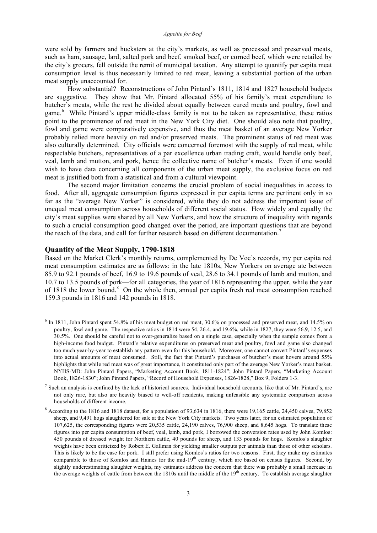were sold by farmers and hucksters at the city's markets, as well as processed and preserved meats, such as ham, sausage, lard, salted pork and beef, smoked beef, or corned beef, which were retailed by the city's grocers, fell outside the remit of municipal taxation. Any attempt to quantify per capita meat consumption level is thus necessarily limited to red meat, leaving a substantial portion of the urban meat supply unaccounted for.

How substantial? Reconstructions of John Pintard's 1811, 1814 and 1827 household budgets are suggestive. They show that Mr. Pintard allocated 55% of his family's meat expenditure to butcher's meats, while the rest he divided about equally between cured meats and poultry, fowl and game. <sup>6</sup> While Pintard's upper middle-class family is not to be taken as representative, these ratios point to the prominence of red meat in the New York City diet. One should also note that poultry, fowl and game were comparatively expensive, and thus the meat basket of an average New Yorker probably relied more heavily on red and/or preserved meats. The prominent status of red meat was also culturally determined. City officials were concerned foremost with the supply of red meat, while respectable butchers, representatives of a par excellence urban trading craft, would handle only beef, veal, lamb and mutton, and pork, hence the collective name of butcher's meats. Even if one would wish to have data concerning all components of the urban meat supply, the exclusive focus on red meat is justified both from a statistical and from a cultural viewpoint.

The second major limitation concerns the crucial problem of social inequalities in access to food. After all, aggregate consumption figures expressed in per capita terms are pertinent only in so far as the "average New Yorker" is considered, while they do not address the important issue of unequal meat consumption across households of different social status. How widely and equally the city's meat supplies were shared by all New Yorkers, and how the structure of inequality with regards to such a crucial consumption good changed over the period, are important questions that are beyond the reach of the data, and call for further research based on different documentation.<sup>7</sup>

## **Quantity of the Meat Supply, 1790-1818**

1

Based on the Market Clerk's monthly returns, complemented by De Voe's records, my per capita red meat consumption estimates are as follows: in the late 1810s, New Yorkers on average ate between 85.9 to 92.1 pounds of beef, 16.9 to 19.6 pounds of veal, 28.6 to 34.1 pounds of lamb and mutton, and 10.7 to 13.5 pounds of pork—for all categories, the year of 1816 representing the upper, while the year of 1818 the lower bound.<sup>8</sup> On the whole then, annual per capita fresh red meat consumption reached 159.3 pounds in 1816 and 142 pounds in 1818.

 $6$  In 1811, John Pintard spent 54.8% of his meat budget on red meat, 30.6% on processed and preserved meat, and 14.5% on poultry, fowl and game. The respective ratios in 1814 were 54, 26.4, and 19.6%, while in 1827, they were 56.9, 12.5, and 30.5%. One should be careful not to over-generalize based on a single case, especially when the sample comes from a high-income food budget. Pintard's relative expenditures on preserved meat and poultry, fowl and game also changed too much year-by-year to establish any pattern even for this household. Moreover, one cannot convert Pintard's expenses into actual amounts of meat consumed. Still, the fact that Pintard's purchases of butcher's meat hovers around 55% highlights that while red meat was of great importance, it constituted only part of the average New Yorker's meat basket. NYHS-MD: John Pintard Papers, "Marketing Account Book, 1811-1824"; John Pintard Papers, "Marketing Account Book, 1826-1830"; John Pintard Papers, "Record of Household Expenses, 1826-1828," Box 9, Folders 1-3.

<sup>&</sup>lt;sup>7</sup> Such an analysis is confined by the lack of historical sources. Individual household accounts, like that of Mr. Pintard's, are not only rare, but also are heavily biased to well-off residents, making unfeasible any systematic comparison across households of different income.

<sup>8</sup> According to the 1816 and 1818 dataset, for a population of 93,634 in 1816, there were 19,165 cattle, 24,450 calves, 79,852 sheep, and 9,491 hogs slaughtered for sale at the New York City markets. Two years later, for an estimated population of 107,625, the corresponding figures were 20,535 cattle, 24,190 calves, 76,900 sheep, and 8,645 hogs. To translate these figures into per capita consumption of beef, veal, lamb, and pork, I borrowed the conversion rates used by John Komlos: 450 pounds of dressed weight for Northern cattle, 40 pounds for sheep, and 133 pounds for hogs. Komlos's slaughter weights have been criticized by Robert E. Gallman for yielding smaller outputs per animals than those of other scholars. This is likely to be the case for pork. I still prefer using Komlos's ratios for two reasons. First, they make my estimates comparable to those of Komlos and Haines for the mid-19<sup>th</sup> century, which are based on census figures. Second, by slightly underestimating slaughter weights, my estimates address the concern that there was probably a small increase in the average weights of cattle from between the 1810s until the middle of the  $19<sup>th</sup>$  century. To establish average slaughter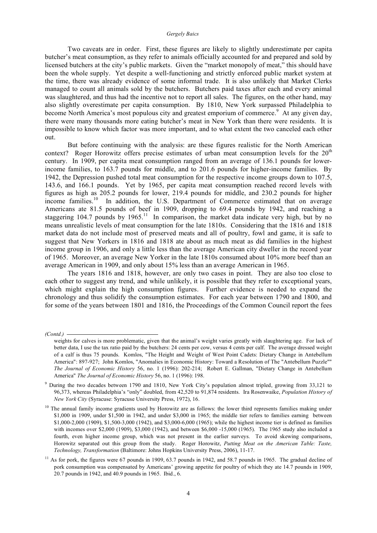Two caveats are in order. First, these figures are likely to slightly underestimate per capita butcher's meat consumption, as they refer to animals officially accounted for and prepared and sold by licensed butchers at the city's public markets. Given the "market monopoly of meat," this should have been the whole supply. Yet despite a well-functioning and strictly enforced public market system at the time, there was already evidence of some informal trade. It is also unlikely that Market Clerks managed to count all animals sold by the butchers. Butchers paid taxes after each and every animal was slaughtered, and thus had the incentive not to report all sales. The figures, on the other hand, may also slightly overestimate per capita consumption. By 1810, New York surpassed Philadelphia to become North America's most populous city and greatest emporium of commerce.<sup>9</sup> At any given day, there were many thousands more eating butcher's meat in New York than there were residents. It is impossible to know which factor was more important, and to what extent the two canceled each other out.

But before continuing with the analysis: are these figures realistic for the North American context? Roger Horowitz offers precise estimates of urban meat consumption levels for the  $20<sup>th</sup>$ century. In 1909, per capita meat consumption ranged from an average of 136.1 pounds for lowerincome families, to 163.7 pounds for middle, and to 201.6 pounds for higher-income families. By 1942, the Depression pushed total meat consumption for the respective income groups down to 107.5, 143.6, and 166.1 pounds. Yet by 1965, per capita meat consumption reached record levels with figures as high as 205.2 pounds for lower, 219.4 pounds for middle, and 230.2 pounds for higher income families.<sup>10</sup> In addition, the U.S. Department of Commerce estimated that on average Americans ate 81.5 pounds of beef in 1909, dropping to 69.4 pounds by 1942, and reaching a staggering 104.7 pounds by  $1965$ .<sup>11</sup> In comparison, the market data indicate very high, but by no means unrealistic levels of meat consumption for the late 1810s. Considering that the 1816 and 1818 market data do not include most of preserved meats and all of poultry, fowl and game, it is safe to suggest that New Yorkers in 1816 and 1818 ate about as much meat as did families in the highest income group in 1906, and only a little less than the average American city dweller in the record year of 1965. Moreover, an average New Yorker in the late 1810s consumed about 10% more beef than an average American in 1909, and only about 15% less than an average American in 1965.

The years 1816 and 1818, however, are only two cases in point. They are also too close to each other to suggest any trend, and while unlikely, it is possible that they refer to exceptional years, which might explain the high consumption figures. Further evidence is needed to expand the chronology and thus solidify the consumption estimates. For each year between 1790 and 1800, and for some of the years between 1801 and 1816, the Proceedings of the Common Council report the fees

*(Contd.)* 

weights for calves is more problematic, given that the animal's weight varies greatly with slaughtering age. For lack of better data, I use the tax ratio paid by the butchers: 24 cents per cow, versus 4 cents per calf. The average dressed weight of a calf is thus 75 pounds. Komlos, "The Height and Weight of West Point Cadets: Dietary Change in Antebellum America": 897-927; John Komlos, "Anomalies in Economic History: Toward a Resolution of The "Antebellum Puzzle"" *The Journal of Economic History* 56, no. 1 (1996): 202-214; Robert E. Gallman, "Dietary Change in Antebellum America" *The Journal of Economic History* 56, no. 1 (1996): 198.

<sup>&</sup>lt;sup>9</sup> During the two decades between 1790 and 1810, New York City's population almost tripled, growing from 33,121 to 96,373, whereas Philadelphia's "only" doubled, from 42,520 to 91,874 residents. Ira Rosenwaike, *Population History of New York City* (Syracuse: Syracuse University Press, 1972), 16.

 $10$  The annual family income gradients used by Horowitz are as follows: the lower third represents families making under \$1,000 in 1909, under \$1,500 in 1942, and under \$3,000 in 1965; the middle tier refers to families earning between \$1,000-2,000 (1909), \$1,500-3,000 (1942), and \$3,000-6,000 (1965); while the highest income tier is defined as families with incomes over \$2,000 (1909), \$3,000 (1942), and between \$6,000 -15,000 (1965). The 1965 study also included a fourth, even higher income group, which was not present in the earlier surveys. To avoid skewing comparisons, Horowitz separated out this group from the study. Roger Horowitz, *Putting Meat on the American Table: Taste, Technology, Transformation* (Baltimore: Johns Hopkins University Press, 2006), 11-17.

 $11$  As for pork, the figures were 67 pounds in 1909, 63.7 pounds in 1942, and 58.7 pounds in 1965. The gradual decline of pork consumption was compensated by Americans' growing appetite for poultry of which they ate 14.7 pounds in 1909, 20.7 pounds in 1942, and 40.9 pounds in 1965. Ibid., 6.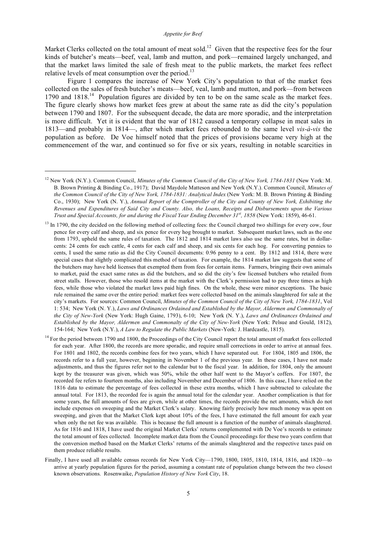Market Clerks collected on the total amount of meat sold.<sup>12</sup> Given that the respective fees for the four kinds of butcher's meats—beef, veal, lamb and mutton, and pork—remained largely unchanged, and that the market laws limited the sale of fresh meat to the public markets, the market fees reflect relative levels of meat consumption over the period.<sup>13</sup>

Figure 1 compares the increase of New York City's population to that of the market fees collected on the sales of fresh butcher's meats—beef, veal, lamb and mutton, and pork—from between 1790 and 1818.<sup>14</sup> Population figures are divided by ten to be on the same scale as the market fees. The figure clearly shows how market fees grew at about the same rate as did the city's population between 1790 and 1807. For the subsequent decade, the data are more sporadic, and the interpretation is more difficult. Yet it is evident that the war of 1812 caused a temporary collapse in meat sales in 1813—and probably in 1814—, after which market fees rebounded to the same level *vis-à-vis* the population as before. De Voe himself noted that the prices of provisions became very high at the commencement of the war, and continued so for five or six years, resulting in notable scarcities in

<sup>12</sup> New York (N.Y.). Common Council, *Minutes of the Common Council of the City of New York, 1784-1831* (New York: M. B. Brown Printing & Binding Co., 1917); David Maydole Matteson and New York (N.Y.). Common Council, *Minutes of the Common Council of the City of New York, 1784-1831: Analytical Index* (New York: M. B. Brown Printing & Binding Co., 1930); New York (N. Y.), *Annual Report of the Comptroller of the City and County of New York, Exhibiting the* Revenues and Expenditures of Said City and County. Also, the Loans, Receipts and Disbursements upon the Various *Trust and Special Accounts, for and during the Fiscal Year Ending December 31st , 1858* (New York: 1859), 46-61.

 $13$  In 1790, the city decided on the following method of collecting fees: the Council charged two shillings for every cow, four pence for every calf and sheep, and six pence for every hog brought to market. Subsequent market laws, such as the one from 1793, upheld the same rules of taxation. The 1812 and 1814 market laws also use the same rates, but in dollarcents: 24 cents for each cattle, 4 cents for each calf and sheep, and six cents for each hog. For converting pennies to cents, I used the same ratio as did the City Council documents: 0.96 penny to a cent. By 1812 and 1814, there were special cases that slightly complicated this method of taxation. For example, the 1814 market law suggests that some of the butchers may have held licenses that exempted them from fees for certain items. Farmers, bringing their own animals to market, paid the exact same rates as did the butchers, and so did the city's few licensed butchers who retailed from street stalls. However, those who resold items at the market with the Clerk's permission had to pay three times as high fees, while those who violated the market laws paid high fines. On the whole, these were minor exceptions. The basic rule remained the same over the entire period: market fees were collected based on the animals slaughtered for sale at the city's markets. For sources: Common Council, *Minutes of the Common Council of the City of New York, 1784-1831*, Vol 1: 534; New York (N. Y.), *Laws and Ordinances Ordained and Established by the Mayor, Aldermen and Commonalty of the City of New-York* (New York: Hugh Gaine, 1793), 6-10; New York (N. Y.), *Laws and Ordinances Ordained and Established by the Mayor, Aldermen and Commonalty of the City of New-York* (New York: Pelsue and Gould, 1812), 154-164; New York (N.Y.), *A Law to Regulate the Public Markets* (New-York: J. Hardcastle, 1815).

<sup>&</sup>lt;sup>14</sup> For the period between 1790 and 1800, the Proceedings of the City Council report the total amount of market fees collected for each year. After 1800, the records are more sporadic, and require small corrections in order to arrive at annual fees. For 1801 and 1802, the records combine fees for two years, which I have separated out. For 1804, 1805 and 1806, the records refer to a full year, however, beginning in November 1 of the previous year. In these cases, I have not made adjustments, and thus the figures refer not to the calendar but to the fiscal year. In addition, for 1804, only the amount kept by the treasurer was given, which was 50%, while the other half went to the Mayor's coffers. For 1807, the recorded fee refers to fourteen months, also including November and December of 1806. In this case, I have relied on the 1816 data to estimate the percentage of fees collected in these extra months, which I have subtracted to calculate the annual total. For 1813, the recorded fee is again the annual total for the calendar year. Another complication is that for some years, the full amounts of fees are given, while at other times, the records provide the net amounts, which do not include expenses on sweeping and the Market Clerk's salary. Knowing fairly precisely how much money was spent on sweeping, and given that the Market Clerk kept about 10% of the fees, I have estimated the full amount for each year when only the net fee was available. This is because the full amount is a function of the number of animals slaughtered. As for 1816 and 1818, I have used the original Market Clerks' returns complemented with De Voe's records to estimate the total amount of fees collected. Incomplete market data from the Council proceedings for these two years confirm that the conversion method based on the Market Clerks' returns of the animals slaughtered and the respective taxes paid on them produce reliable results.

Finally, I have used all available census records for New York City—1790, 1800, 1805, 1810, 1814, 1816, and 1820—to arrive at yearly population figures for the period, assuming a constant rate of population change between the two closest known observations. Rosenwaike, *Population History of New York City*, 18.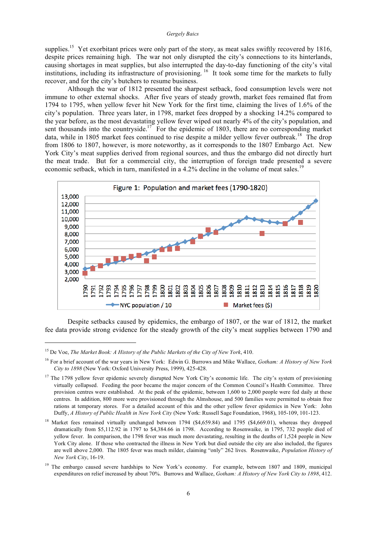supplies.<sup>15</sup> Yet exorbitant prices were only part of the story, as meat sales swiftly recovered by 1816, despite prices remaining high. The war not only disrupted the city's connections to its hinterlands, causing shortages in meat supplies, but also interrupted the day-to-day functioning of the city's vital institutions, including its infrastructure of provisioning. <sup>16</sup> It took some time for the markets to fully recover, and for the city's butchers to resume business.

Although the war of 1812 presented the sharpest setback, food consumption levels were not immune to other external shocks. After five years of steady growth, market fees remained flat from 1794 to 1795, when yellow fever hit New York for the first time, claiming the lives of 1.6% of the city's population. Three years later, in 1798, market fees dropped by a shocking 14.2% compared to the year before, as the most devastating yellow fever wiped out nearly 4% of the city's population, and sent thousands into the countryside.<sup>17</sup> For the epidemic of 1803, there are no corresponding market data, while in 1805 market fees continued to rise despite a milder yellow fever outbreak.<sup>18</sup> The drop from 1806 to 1807, however, is more noteworthy, as it corresponds to the 1807 Embargo Act. New York City's meat supplies derived from regional sources, and thus the embargo did not directly hurt the meat trade. But for a commercial city, the interruption of foreign trade presented a severe economic setback, which in turn, manifested in a 4.2% decline in the volume of meat sales.<sup>19</sup>



Despite setbacks caused by epidemics, the embargo of 1807, or the war of 1812, the market fee data provide strong evidence for the steady growth of the city's meat supplies between 1790 and

<u>.</u>

<sup>15</sup> De Voe, *The Market Book: A History of the Public Markets of the City of New York*, 410.

<sup>16</sup> For a brief account of the war years in New York: Edwin G. Burrows and Mike Wallace, *Gotham: A History of New York City to 1898* (New York: Oxford University Press, 1999), 425-428.

 $17$  The 1798 yellow fever epidemic severely disrupted New York City's economic life. The city's system of provisioning virtually collapsed. Feeding the poor became the major concern of the Common Council's Health Committee. Three provision centres were established. At the peak of the epidemic, between 1,600 to 2,000 people were fed daily at these centres. In addition, 800 more were provisioned through the Almshouse, and 500 families were permitted to obtain free rations at temporary stores. For a detailed account of this and the other yellow fever epidemics in New York: John Duffy, *A History of Public Health in New York City* (New York: Russell Sage Foundation, 1968), 105-109, 101-123.

<sup>&</sup>lt;sup>18</sup> Market fees remained virtually unchanged between 1794 (\$4,659.84) and 1795 (\$4,669.01), whereas they dropped dramatically from \$5,112.92 in 1797 to \$4,384.66 in 1798. According to Rosenwaike, in 1795, 732 people died of yellow fever. In comparison, the 1798 fever was much more devastating, resulting in the deaths of 1,524 people in New York City alone. If those who contracted the illness in New York but died outside the city are also included, the figures are well above 2,000. The 1805 fever was much milder, claiming "only" 262 lives. Rosenwaike, *Population History of New York City*, 16-19.

<sup>&</sup>lt;sup>19</sup> The embargo caused severe hardships to New York's economy. For example, between 1807 and 1809, municipal expenditures on relief increased by about 70%. Burrows and Wallace, *Gotham: A History of New York City to 1898*, 412.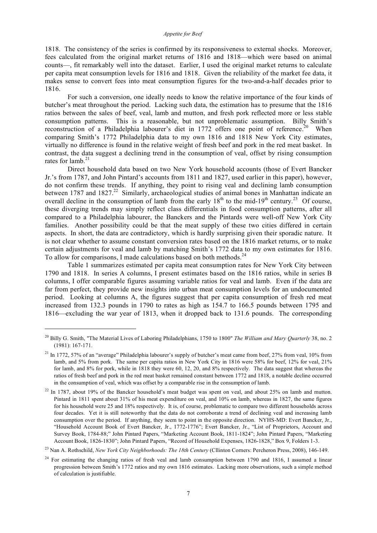1818. The consistency of the series is confirmed by its responsiveness to external shocks. Moreover, fees calculated from the original market returns of 1816 and 1818—which were based on animal counts—, fit remarkably well into the dataset. Earlier, I used the original market returns to calculate per capita meat consumption levels for 1816 and 1818. Given the reliability of the market fee data, it makes sense to convert fees into meat consumption figures for the two-and-a-half decades prior to 1816.

For such a conversion, one ideally needs to know the relative importance of the four kinds of butcher's meat throughout the period. Lacking such data, the estimation has to presume that the 1816 ratios between the sales of beef, veal, lamb and mutton, and fresh pork reflected more or less stable consumption patterns. This is a reasonable, but not unproblematic assumption. Billy Smith's reconstruction of a Philadelphia labourer's diet in 1772 offers one point of reference.<sup>20</sup> When comparing Smith's 1772 Philadelphia data to my own 1816 and 1818 New York City estimates, virtually no difference is found in the relative weight of fresh beef and pork in the red meat basket. In contrast, the data suggest a declining trend in the consumption of veal, offset by rising consumption rates for lamb.<sup>21</sup>

Direct household data based on two New York household accounts (those of Evert Bancker Jr.'s from 1787, and John Pintard's accounts from 1811 and 1827, used earlier in this paper), however, do not confirm these trends. If anything, they point to rising veal and declining lamb consumption between 1787 and 1827.<sup>22</sup> Similarly, archaeological studies of animal bones in Manhattan indicate an overall decline in the consumption of lamb from the early  $18<sup>th</sup>$  to the mid-19<sup>th</sup> century.<sup>23</sup> Of course, these diverging trends may simply reflect class differentials in food consumption patterns, after all compared to a Philadelphia labourer, the Banckers and the Pintards were well-off New York City families. Another possibility could be that the meat supply of these two cities differed in certain aspects. In short, the data are contradictory, which is hardly surprising given their sporadic nature. It is not clear whether to assume constant conversion rates based on the 1816 market returns, or to make certain adjustments for veal and lamb by matching Smith's 1772 data to my own estimates for 1816. To allow for comparisons, I made calculations based on both methods.<sup>24</sup>

Table 1 summarizes estimated per capita meat consumption rates for New York City between 1790 and 1818. In series A columns, I present estimates based on the 1816 ratios, while in series B columns, I offer comparable figures assuming variable ratios for veal and lamb. Even if the data are far from perfect, they provide new insights into urban meat consumption levels for an undocumented period. Looking at columns A, the figures suggest that per capita consumption of fresh red meat increased from 132.3 pounds in 1790 to rates as high as 154.7 to 166.5 pounds between 1795 and 1816—excluding the war year of 1813, when it dropped back to 131.6 pounds. The corresponding

<sup>20</sup> Billy G. Smith, "The Material Lives of Laboring Philadelphians, 1750 to 1800" *The William and Mary Quarterly* 38, no. 2 (1981): 167-171.

<sup>&</sup>lt;sup>21</sup> In 1772, 57% of an "average" Philadelphia labourer's supply of butcher's meat came from beef, 27% from veal, 10% from lamb, and 5% from pork. The same per capita ratios in New York City in 1816 were 58% for beef, 12% for veal, 21% for lamb, and 8% for pork, while in 1818 they were 60, 12, 20, and 8% respectively. The data suggest that whereas the ratios of fresh beef and pork in the red meat basket remained constant between 1772 and 1818, a notable decline occurred in the consumption of veal, which was offset by a comparable rise in the consumption of lamb.

 $22$  In 1787, about 19% of the Bancker household's meat budget was spent on veal, and about 25% on lamb and mutton. Pintard in 1811 spent about 31% of his meat expenditure on veal, and 10% on lamb, whereas in 1827, the same figures for his household were 25 and 18% respectively. It is, of course, problematic to compare two different households across four decades. Yet it is still noteworthy that the data do not corroborate a trend of declining veal and increasing lamb consumption over the period. If anything, they seem to point in the opposite direction. NYHS-MD: Evert Bancker, Jr., "Household Account Book of Evert Bancker, Jr., 1772-1776"; Evert Bancker, Jr., "List of Proprietors, Account and Survey Book, 1784-88;" John Pintard Papers, "Marketing Account Book, 1811-1824"; John Pintard Papers, "Marketing Account Book, 1826-1830"; John Pintard Papers, "Record of Household Expenses, 1826-1828," Box 9, Folders 1-3.

<sup>23</sup> Nan A. Rothschild, *New York City Neighborhoods: The 18th Century* (Cllinton Corners: Percheron Press, 2008), 146-149.

<sup>&</sup>lt;sup>24</sup> For estimating the changing ratios of fresh veal and lamb consumption between 1790 and 1816, I assumed a linear progression between Smith's 1772 ratios and my own 1816 estimates. Lacking more observations, such a simple method of calculation is justifiable.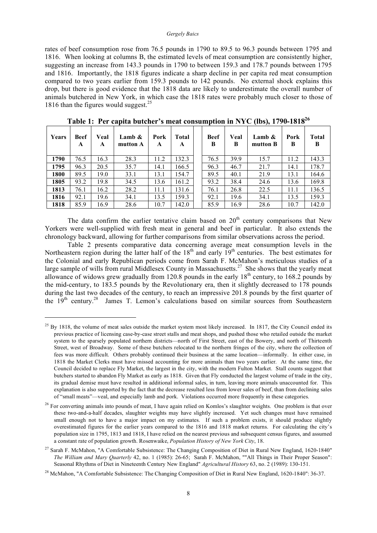rates of beef consumption rose from 76.5 pounds in 1790 to 89.5 to 96.3 pounds between 1795 and 1816. When looking at columns B, the estimated levels of meat consumption are consistently higher, suggesting an increase from 143.3 pounds in 1790 to between 159.3 and 178.7 pounds between 1795 and 1816. Importantly, the 1818 figures indicate a sharp decline in per capita red meat consumption compared to two years earlier from 159.3 pounds to 142 pounds. No external shock explains this drop, but there is good evidence that the 1818 data are likely to underestimate the overall number of animals butchered in New York, in which case the 1818 rates were probably much closer to those of 1816 than the figures would suggest. 25

| Years | Beef<br>A | Veal<br>A | Lamb &<br>mutton A | Pork<br>A | Total<br>A | <b>Beef</b><br>B | Veal<br>B | Lamb $\&$<br>mutton B | Pork<br>B | <b>Total</b><br>B |
|-------|-----------|-----------|--------------------|-----------|------------|------------------|-----------|-----------------------|-----------|-------------------|
| 1790  | 76.5      | 16.3      | 28.3               | 11.2      | 132.3      | 76.5             | 39.9      | 15.7                  | 11.2      | 143.3             |
| 1795  | 96.3      | 20.5      | 35.7               | 14.1      | 166.5      | 96.3             | 46.7      | 21.7                  | 14.1      | 178.7             |
| 1800  | 89.5      | 19.0      | 33.1               | 13.1      | 154.7      | 89.5             | 40.1      | 21.9                  | 13.1      | 164.6             |
| 1805  | 93.2      | 19.8      | 34.5               | 13.6      | 161.2      | 93.2             | 38.4      | 24.6                  | 13.6      | 169.8             |
| 1813  | 76.1      | 16.2      | 28.2               | 11.1      | 131.6      | 76.1             | 26.8      | 22.5                  | 11.1      | 136.5             |
| 1816  | 92.1      | 19.6      | 34.1               | 13.5      | 159.3      | 92.1             | 19.6      | 34.1                  | 13.5      | 159.3             |
| 1818  | 85.9      | 16.9      | 28.6               | 10.7      | 142.0      | 85.9             | 16.9      | 28.6                  | 10.7      | 142.0             |

**Table 1: Per capita butcher's meat consumption in NYC (lbs), 1790-181826**

The data confirm the earlier tentative claim based on  $20<sup>th</sup>$  century comparisons that New Yorkers were well-supplied with fresh meat in general and beef in particular. It also extends the chronology backward, allowing for further comparisons from similar observations across the period.

Table 2 presents comparative data concerning average meat consumption levels in the Northeastern region during the latter half of the  $18<sup>th</sup>$  and early  $19<sup>th</sup>$  centuries. The best estimates for the Colonial and early Republican periods come from Sarah F. McMahon's meticulous studies of a large sample of wills from rural Middlesex County in Massachusetts.<sup>27</sup> She shows that the yearly meat allowance of widows grew gradually from 120.8 pounds in the early  $18<sup>th</sup>$  century, to 168.2 pounds by the mid-century, to 183.5 pounds by the Revolutionary era, then it slightly decreased to 178 pounds during the last two decades of the century, to reach an impressive 201.8 pounds by the first quarter of the 19<sup>th</sup> century.<sup>28</sup> James T. Lemon's calculations based on similar sources from Southeastern

<sup>&</sup>lt;sup>25</sup> By 1818, the volume of meat sales outside the market system most likely increased. In 1817, the City Council ended its previous practice of licensing case-by-case street stalls and meat shops, and pushed those who retailed outside the market system to the sparsely populated northern districts—north of First Street, east of the Bowery, and north of Thirteenth Street, west of Broadway. Some of these butchers relocated to the northern fringes of the city, where the collection of fees was more difficult. Others probably continued their business at the same location—informally. In either case, in 1818 the Market Clerks must have missed accounting for more animals than two years earlier. At the same time, the Council decided to replace Fly Market, the largest in the city, with the modern Fulton Market. Stall counts suggest that butchers started to abandon Fly Market as early as 1818. Given that Fly conducted the largest volume of trade in the city, its gradual demise must have resulted in additional informal sales, in turn, leaving more animals unaccounted for. This explanation is also supported by the fact that the decrease resulted less from lower sales of beef, than from declining sales of "small meats"—veal, and especially lamb and pork. Violations occurred more frequently in these categories.

<sup>&</sup>lt;sup>26</sup> For converting animals into pounds of meat, I have again relied on Komlos's slaughter weights. One problem is that over these two-and-a-half decades, slaughter weights may have slightly increased. Yet such changes must have remained small enough not to have a major impact on my estimates. If such a problem exists, it should produce slightly overestimated figures for the earlier years compared to the 1816 and 1818 market returns. For calculating the city's population size in 1795, 1813 and 1818, I have relied on the nearest previous and subsequent census figures, and assumed a constant rate of population growth. Rosenwaike, *Population History of New York City*, 18.

<sup>&</sup>lt;sup>27</sup> Sarah F. McMahon, "A Comfortable Subsistence: The Changing Composition of Diet in Rural New England, 1620-1840" *The William and Mary Quarterly* 42, no. 1 (1985): 26-65; Sarah F. McMahon, ""All Things in Their Proper Season": Seasonal Rhythms of Diet in Nineteenth Century New England" *Agricultural History* 63, no. 2 (1989): 130-151.

<sup>&</sup>lt;sup>28</sup> McMahon, "A Comfortable Subsistence: The Changing Composition of Diet in Rural New England, 1620-1840": 36-37.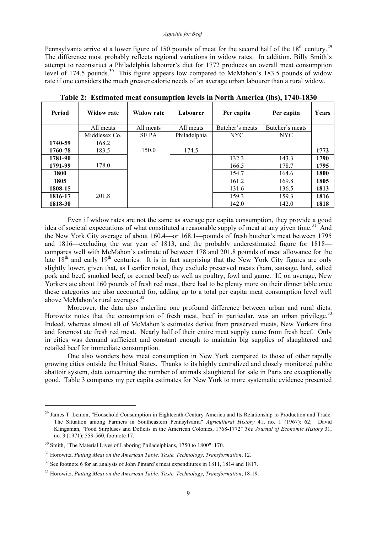#### *Appetite for Beef*

Pennsylvania arrive at a lower figure of 150 pounds of meat for the second half of the  $18<sup>th</sup>$  century.<sup>29</sup> The difference most probably reflects regional variations in widow rates. In addition, Billy Smith's attempt to reconstruct a Philadelphia labourer's diet for 1772 produces an overall meat consumption level of 174.5 pounds.<sup>30</sup> This figure appears low compared to McMahon's 183.5 pounds of widow rate if one considers the much greater calorie needs of an average urban labourer than a rural widow.

| Period  | <b>Widow rate</b> | <b>Widow rate</b> | Labourer     | Per capita      | Per capita      | Years |
|---------|-------------------|-------------------|--------------|-----------------|-----------------|-------|
|         | All meats         | All meats         | All meats    | Butcher's meats | Butcher's meats |       |
|         | Middlesex Co.     | <b>SEPA</b>       | Philadelphia | <b>NYC</b>      | NYC             |       |
| 1740-59 | 168.2             |                   |              |                 |                 |       |
| 1760-78 | 183.5             | 150.0             | 174.5        |                 |                 | 1772  |
| 1781-90 |                   |                   |              | 132.3           | 143.3           | 1790  |
| 1791-99 | 178.0             |                   |              | 166.5           | 178.7           | 1795  |
| 1800    |                   |                   |              | 154.7           | 164.6           | 1800  |
| 1805    |                   |                   |              | 161.2           | 169.8           | 1805  |
| 1808-15 |                   |                   |              | 131.6           | 136.5           | 1813  |
| 1816-17 | 201.8             |                   |              | 159.3           | 159.3           | 1816  |
| 1818-30 |                   |                   |              | 142.0           | 142.0           | 1818  |

**Table 2: Estimated meat consumption levels in North America (lbs), 1740-1830**

Even if widow rates are not the same as average per capita consumption, they provide a good idea of societal expectations of what constituted a reasonable supply of meat at any given time.<sup>31</sup> And the New York City average of about 160.4—or 168.1—pounds of fresh butcher's meat between 1795 and 1816—excluding the war year of 1813, and the probably underestimated figure for 1818 compares well with McMahon's estimate of between 178 and 201.8 pounds of meat allowance for the late  $18<sup>th</sup>$  and early  $19<sup>th</sup>$  centuries. It is in fact surprising that the New York City figures are only slightly lower, given that, as I earlier noted, they exclude preserved meats (ham, sausage, lard, salted pork and beef, smoked beef, or corned beef) as well as poultry, fowl and game. If, on average, New Yorkers ate about 160 pounds of fresh red meat, there had to be plenty more on their dinner table once these categories are also accounted for, adding up to a total per capita meat consumption level well above McMahon's rural averages.<sup>32</sup>

Moreover, the data also underline one profound difference between urban and rural diets. Horowitz notes that the consumption of fresh meat, beef in particular, was an urban privilege.<sup>33</sup> Indeed, whereas almost all of McMahon's estimates derive from preserved meats, New Yorkers first and foremost ate fresh red meat. Nearly half of their entire meat supply came from fresh beef. Only in cities was demand sufficient and constant enough to maintain big supplies of slaughtered and retailed beef for immediate consumption.

One also wonders how meat consumption in New York compared to those of other rapidly growing cities outside the United States. Thanks to its highly centralized and closely monitored public abattoir system, data concerning the number of animals slaughtered for sale in Paris are exceptionally good. Table 3 compares my per capita estimates for New York to more systematic evidence presented

 $^{29}$  James T. Lemon, "Household Consumption in Eighteenth-Century America and Its Relationship to Production and Trade: The Situation among Farmers in Southeastern Pennsylvania" *Agricultural History* 41, no. 1 (1967): 62; David Klingaman, "Food Surpluses and Deficits in the American Colonies, 1768-1772" *The Journal of Economic History* 31, no. 3 (1971): 559-560, footnote 17.

<sup>&</sup>lt;sup>30</sup> Smith, "The Material Lives of Laboring Philadelphians, 1750 to 1800": 170.

<sup>31</sup> Horowitz, *Putting Meat on the American Table: Taste, Technology, Transformation*, 12.

 $32$  See footnote 6 for an analysis of John Pintard's meat expenditures in 1811, 1814 and 1817.

<sup>33</sup> Horowitz, *Putting Meat on the American Table: Taste, Technology, Transformation*, 18-19.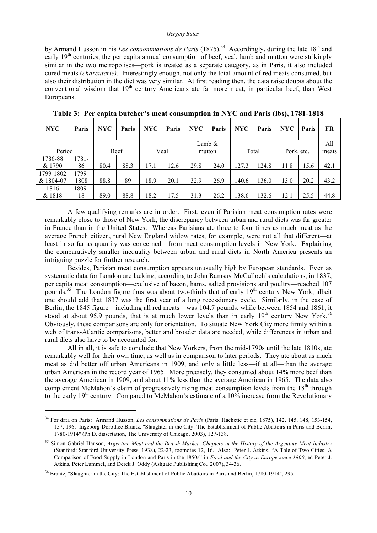by Armand Husson in his *Les consommations de Paris* (1875).<sup>34</sup> Accordingly, during the late 18<sup>th</sup> and early 19<sup>th</sup> centuries, the per capita annual consumption of beef, veal, lamb and mutton were strikingly similar in the two metropolises—pork is treated as a separate category, as in Paris, it also included cured meats (*charcuterie).* Interestingly enough, not only the total amount of red meats consumed, but also their distribution in the diet was very similar. At first reading then, the data raise doubts about the conventional wisdom that 19<sup>th</sup> century Americans ate far more meat, in particular beef, than West Europeans.

| <b>NYC</b> | Paris | <b>NYC</b> | Paris | <b>NYC</b> | Paris | <b>NYC</b> | Paris     | <b>NYC</b> | Paris | <b>NYC</b> | Paris | <b>FR</b> |
|------------|-------|------------|-------|------------|-------|------------|-----------|------------|-------|------------|-------|-----------|
|            |       |            |       |            |       |            | Lamb $\&$ |            |       |            |       | All       |
| Period     |       |            | Beef  |            | Veal  |            | mutton    |            | Total | Pork, etc. |       | meats     |
| 1786-88    | 1781- |            |       |            |       |            |           |            |       |            |       |           |
| & 1790     | 86    | 80.4       | 88.3  | 17.1       | 12.6  | 29.8       | 24.0      | 127.3      | 124.8 | 11.8       | 15.6  | 42.1      |
| 1799-1802  | 1799- |            |       |            |       |            |           |            |       |            |       |           |
| & 1804-07  | 1808  | 88.8       | 89    | 18.9       | 20.1  | 32.9       | 26.9      | 140.6      | 136.0 | 13.0       | 20.2  | 43.2      |
| 1816       | 1809- |            |       |            |       |            |           |            |       |            |       |           |
| & 1818     | 18    | 89.0       | 88.8  | 18.2       | 17.5  | 31.3       | 26.2      | 138.6      | 132.6 | 12.1       | 25.5  | 44.8      |

**Table 3: Per capita butcher's meat consumption in NYC and Paris (lbs), 1781-1818**

A few qualifying remarks are in order. First, even if Parisian meat consumption rates were remarkably close to those of New York, the discrepancy between urban and rural diets was far greater in France than in the United States. Whereas Parisians ate three to four times as much meat as the average French citizen, rural New England widow rates, for example, were not all that different—at least in so far as quantity was concerned—from meat consumption levels in New York. Explaining the comparatively smaller inequality between urban and rural diets in North America presents an intriguing puzzle for further research.

Besides, Parisian meat consumption appears unusually high by European standards. Even as systematic data for London are lacking, according to John Ramsay McCulloch's calculations, in 1837, per capita meat consumption—exclusive of bacon, hams, salted provisions and poultry—reached 107 pounds.<sup>35</sup> The London figure thus was about two-thirds that of early 19<sup>th</sup> century New York, albeit one should add that 1837 was the first year of a long recessionary cycle. Similarly, in the case of Berlin, the 1845 figure—including all red meats—was 104.7 pounds, while between 1854 and 1861, it stood at about 95.9 pounds, that is at much lower levels than in early  $19<sup>th</sup>$  century New York.<sup>36</sup> Obviously, these comparisons are only for orientation. To situate New York City more firmly within a web of trans-Atlantic comparisons, better and broader data are needed, while differences in urban and rural diets also have to be accounted for.

All in all, it is safe to conclude that New Yorkers, from the mid-1790s until the late 1810s, ate remarkably well for their own time, as well as in comparison to later periods. They ate about as much meat as did better off urban Americans in 1909, and only a little less—if at all—than the average urban American in the record year of 1965. More precisely, they consumed about 14% more beef than the average American in 1909, and about 11% less than the average American in 1965. The data also complement McMahon's claim of progressively rising meat consumption levels from the  $18<sup>th</sup>$  through to the early  $19<sup>th</sup>$  century. Compared to McMahon's estimate of a  $10\%$  increase from the Revolutionary

<sup>34</sup> For data on Paris: Armand Husson, *Les consommations de Paris* (Paris: Hachette et cie, 1875), 142, 145, 148, 153-154, 157, 196; Ingeborg-Dorothee Brantz, "Slaughter in the City: The Establishment of Public Abattoirs in Paris and Berlin, 1780-1914" (Ph.D. dissertation, The University of Chicago, 2003), 127-138.

<sup>35</sup> Simon Gabriel Hanson, *Argentine Meat and the British Market: Chapters in the History of the Argentine Meat Industry* (Stanford: Stanford University Press, 1938), 22-23, footnotes 12, 16. Also: Peter J. Atkins, "A Tale of Two Cities: A Comparison of Food Supply in London and Paris in the 1850s" in *Food and the City in Europe since 1800*, ed Peter J. Atkins, Peter Lummel, and Derek J. Oddy (Ashgate Publishing Co., 2007), 34-36.

<sup>&</sup>lt;sup>36</sup> Brantz, "Slaughter in the City: The Establishment of Public Abattoirs in Paris and Berlin, 1780-1914", 295.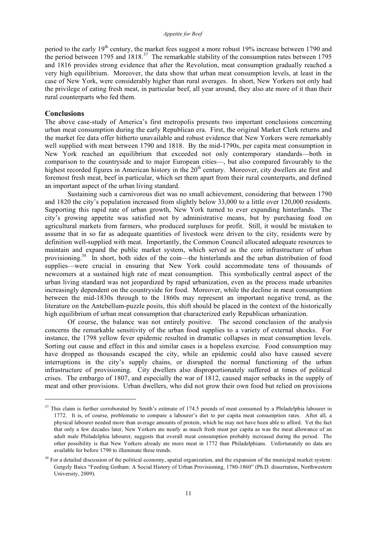period to the early  $19<sup>th</sup>$  century, the market fees suggest a more robust 19% increase between 1790 and the period between 1795 and  $1818$ <sup>37</sup> The remarkable stability of the consumption rates between 1795 and 1816 provides strong evidence that after the Revolution, meat consumption gradually reached a very high equilibrium. Moreover, the data show that urban meat consumption levels, at least in the case of New York, were considerably higher than rural averages. In short, New Yorkers not only had the privilege of eating fresh meat, in particular beef, all year around, they also ate more of it than their rural counterparts who fed them.

#### **Conclusions**

1

The above case-study of America's first metropolis presents two important conclusions concerning urban meat consumption during the early Republican era. First, the original Market Clerk returns and the market fee data offer hitherto unavailable and robust evidence that New Yorkers were remarkably well supplied with meat between 1790 and 1818. By the mid-1790s, per capita meat consumption in New York reached an equilibrium that exceeded not only contemporary standards—both in comparison to the countryside and to major European cities—, but also compared favourably to the highest recorded figures in American history in the 20<sup>th</sup> century. Moreover, city dwellers ate first and foremost fresh meat, beef in particular, which set them apart from their rural counterparts, and defined an important aspect of the urban living standard.

Sustaining such a carnivorous diet was no small achievement, considering that between 1790 and 1820 the city's population increased from slightly below 33,000 to a little over 120,000 residents. Supporting this rapid rate of urban growth, New York turned to ever expanding hinterlands. The city's growing appetite was satisfied not by administrative means, but by purchasing food on agricultural markets from farmers, who produced surpluses for profit. Still, it would be mistaken to assume that in so far as adequate quantities of livestock were driven to the city, residents were by definition well-supplied with meat. Importantly, the Common Council allocated adequate resources to maintain and expand the public market system, which served as the core infrastructure of urban provisioning.<sup>38</sup> In short, both sides of the coin—the hinterlands and the urban distribution of food supplies—were crucial in ensuring that New York could accommodate tens of thousands of newcomers at a sustained high rate of meat consumption. This symbolically central aspect of the urban living standard was not jeopardized by rapid urbanization, even as the process made urbanites increasingly dependent on the countryside for food. Moreover, while the decline in meat consumption between the mid-1830s through to the 1860s may represent an important negative trend, as the literature on the Antebellum-puzzle posits, this shift should be placed in the context of the historically high equilibrium of urban meat consumption that characterized early Republican urbanization.

Of course, the balance was not entirely positive. The second conclusion of the analysis concerns the remarkable sensitivity of the urban food supplies to a variety of external shocks. For instance, the 1798 yellow fever epidemic resulted in dramatic collapses in meat consumption levels. Sorting out cause and effect in this and similar cases is a hopeless exercise. Food consumption may have dropped as thousands escaped the city, while an epidemic could also have caused severe interruptions in the city's supply chains, or disrupted the normal functioning of the urban infrastructure of provisioning. City dwellers also disproportionately suffered at times of political crises. The embargo of 1807, and especially the war of 1812, caused major setbacks in the supply of meat and other provisions. Urban dwellers, who did not grow their own food but relied on provisions

 $37$  This claim is further corroborated by Smith's estimate of 174.5 pounds of meat consumed by a Philadelphia labourer in 1772. It is, of course, problematic to compare a labourer's diet to per capita meat consumption rates. After all, a physical labourer needed more than average amounts of protein, which he may not have been able to afford. Yet the fact that only a few decades later, New Yorkers ate nearly as much fresh meat per capita as was the meat allowance of an adult male Philadelphia labourer, suggests that overall meat consumption probably increased during the period. The other possibility is that New Yorkers already ate more meat in 1772 than Philadelphians. Unfortunately no data are available for before 1790 to illuminate these trends.

<sup>&</sup>lt;sup>38</sup> For a detailed discussion of the political economy, spatial organization, and the expansion of the municipal market system: Gergely Baics "Feeding Gotham: A Social History of Urban Provisioning, 1780-1860" (Ph.D. dissertation, Northwestern University, 2009).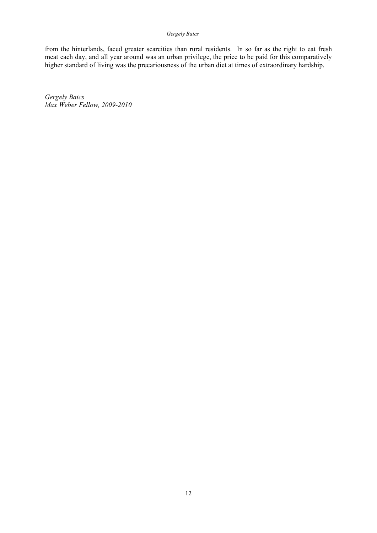from the hinterlands, faced greater scarcities than rural residents. In so far as the right to eat fresh meat each day, and all year around was an urban privilege, the price to be paid for this comparatively higher standard of living was the precariousness of the urban diet at times of extraordinary hardship.

*Gergely Baics Max Weber Fellow, 2009-2010*